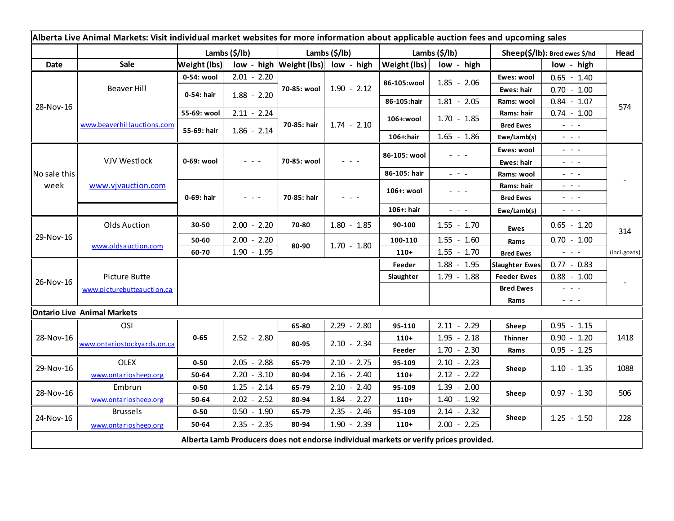| Alberta Live Animal Markets: Visit individual market websites for more information about applicable auction fees and upcoming sales |                                    |                     |                                                                                                                           |               |                                                                                                                           |               |                                                                                                                           |                               |                                                                                                                                                                                                                                                                                                                                                                                                                                                |              |
|-------------------------------------------------------------------------------------------------------------------------------------|------------------------------------|---------------------|---------------------------------------------------------------------------------------------------------------------------|---------------|---------------------------------------------------------------------------------------------------------------------------|---------------|---------------------------------------------------------------------------------------------------------------------------|-------------------------------|------------------------------------------------------------------------------------------------------------------------------------------------------------------------------------------------------------------------------------------------------------------------------------------------------------------------------------------------------------------------------------------------------------------------------------------------|--------------|
|                                                                                                                                     |                                    | Lambs (\$/lb)       |                                                                                                                           | Lambs (\$/lb) |                                                                                                                           | Lambs (\$/lb) |                                                                                                                           | Sheep(\$/lb): Bred ewes \$/hd |                                                                                                                                                                                                                                                                                                                                                                                                                                                | Head         |
| Date                                                                                                                                | Sale                               | <b>Weight (lbs)</b> |                                                                                                                           |               | low - high $Weight$ (lbs) low - high                                                                                      | Weight (lbs)  | low - high                                                                                                                |                               | low - high                                                                                                                                                                                                                                                                                                                                                                                                                                     |              |
| 28-Nov-16                                                                                                                           | Beaver Hill                        | 0-54: wool          | $2.01 - 2.20$                                                                                                             | 70-85: wool   | $1.90 - 2.12$                                                                                                             |               | $1.85 - 2.06$                                                                                                             | Ewes: wool                    | $0.65 - 1.40$                                                                                                                                                                                                                                                                                                                                                                                                                                  | 574          |
|                                                                                                                                     |                                    | 0-54: hair          | $1.88 - 2.20$                                                                                                             |               |                                                                                                                           | 86-105:wool   |                                                                                                                           | Ewes: hair                    | $0.70 - 1.00$                                                                                                                                                                                                                                                                                                                                                                                                                                  |              |
|                                                                                                                                     |                                    |                     |                                                                                                                           |               |                                                                                                                           | 86-105:hair   | $1.81 - 2.05$                                                                                                             | Rams: wool                    | $0.84 - 1.07$                                                                                                                                                                                                                                                                                                                                                                                                                                  |              |
|                                                                                                                                     | www.beaverhillauctions.com         | 55-69: wool         | $2.11 - 2.24$                                                                                                             | 70-85: hair   | $1.74 - 2.10$                                                                                                             | 106+:wool     | $1.70 - 1.85$                                                                                                             | Rams: hair                    | $0.74 - 1.00$                                                                                                                                                                                                                                                                                                                                                                                                                                  |              |
|                                                                                                                                     |                                    | 55-69: hair         | $1.86 - 2.14$                                                                                                             |               |                                                                                                                           |               |                                                                                                                           | <b>Bred Ewes</b>              | $\omega_{\rm{eff}}$ and $\omega_{\rm{eff}}$                                                                                                                                                                                                                                                                                                                                                                                                    |              |
|                                                                                                                                     |                                    |                     |                                                                                                                           |               |                                                                                                                           | 106+:hair     | $1.65 - 1.86$                                                                                                             | Ewe/Lamb(s)                   | $\frac{1}{2} \left( \frac{1}{2} \right) \left( \frac{1}{2} \right) \left( \frac{1}{2} \right) \left( \frac{1}{2} \right)$                                                                                                                                                                                                                                                                                                                      |              |
| No sale this<br>week                                                                                                                | VJV Westlock                       | 0-69: wool          |                                                                                                                           | 70-85: wool   |                                                                                                                           | 86-105: wool  | $\frac{1}{2} \left( \frac{1}{2} \right) \left( \frac{1}{2} \right) \left( \frac{1}{2} \right) \left( \frac{1}{2} \right)$ | Ewes: wool                    | $\omega_{\rm{eff}}$ , $\omega_{\rm{eff}}$ , $\omega_{\rm{eff}}$                                                                                                                                                                                                                                                                                                                                                                                |              |
|                                                                                                                                     |                                    |                     |                                                                                                                           |               |                                                                                                                           |               |                                                                                                                           | Ewes: hair                    | $\frac{1}{2} \left( \frac{1}{2} \right) \frac{1}{2} \left( \frac{1}{2} \right) \frac{1}{2} \left( \frac{1}{2} \right) \frac{1}{2} \left( \frac{1}{2} \right) \frac{1}{2} \left( \frac{1}{2} \right) \frac{1}{2} \left( \frac{1}{2} \right) \frac{1}{2} \left( \frac{1}{2} \right) \frac{1}{2} \left( \frac{1}{2} \right) \frac{1}{2} \left( \frac{1}{2} \right) \frac{1}{2} \left( \frac{1}{2} \right) \frac{1}{2} \left( \frac{1}{2} \right)$ |              |
|                                                                                                                                     |                                    |                     |                                                                                                                           |               |                                                                                                                           | 86-105: hair  | $\frac{1}{2} \left( \frac{1}{2} \right) \left( \frac{1}{2} \right) \left( \frac{1}{2} \right) \left( \frac{1}{2} \right)$ | Rams: wool                    | $  -$                                                                                                                                                                                                                                                                                                                                                                                                                                          |              |
|                                                                                                                                     | www.vjvauction.com                 | 0-69: hair          | $\frac{1}{2} \left( \frac{1}{2} \right) \left( \frac{1}{2} \right) \left( \frac{1}{2} \right) \left( \frac{1}{2} \right)$ | 70-85: hair   | $\frac{1}{2} \left( \frac{1}{2} \right) \left( \frac{1}{2} \right) \left( \frac{1}{2} \right) \left( \frac{1}{2} \right)$ | 106+: wool    |                                                                                                                           | Rams: hair                    | $  -$                                                                                                                                                                                                                                                                                                                                                                                                                                          |              |
|                                                                                                                                     |                                    |                     |                                                                                                                           |               |                                                                                                                           |               |                                                                                                                           | <b>Bred Ewes</b>              | $\frac{1}{2} \left( \frac{1}{2} \right) \left( \frac{1}{2} \right) \left( \frac{1}{2} \right) \left( \frac{1}{2} \right)$                                                                                                                                                                                                                                                                                                                      |              |
|                                                                                                                                     |                                    |                     |                                                                                                                           |               |                                                                                                                           | 106+: hair    | $\frac{1}{2} \left( \frac{1}{2} \right) \left( \frac{1}{2} \right) \left( \frac{1}{2} \right) \left( \frac{1}{2} \right)$ | Ewe/Lamb(s)                   | $  -$                                                                                                                                                                                                                                                                                                                                                                                                                                          |              |
| 29-Nov-16                                                                                                                           | <b>Olds Auction</b>                | 30-50               | $2.00 - 2.20$                                                                                                             | 70-80         | $1.80 - 1.85$                                                                                                             | 90-100        | $1.55 - 1.70$                                                                                                             | Ewes                          | $0.65 - 1.20$                                                                                                                                                                                                                                                                                                                                                                                                                                  | 314          |
|                                                                                                                                     | www.oldsauction.com                | 50-60               | $2.00 - 2.20$                                                                                                             | 80-90         | $1.70 - 1.80$                                                                                                             | 100-110       | $1.55 - 1.60$                                                                                                             | Rams                          | $0.70 - 1.00$                                                                                                                                                                                                                                                                                                                                                                                                                                  |              |
|                                                                                                                                     |                                    | 60-70               | $1.90 - 1.95$                                                                                                             |               |                                                                                                                           | $110+$        | $1.55 - 1.70$                                                                                                             | <b>Bred Ewes</b>              | $\sim$ 10 $\sim$ 10 $\sim$                                                                                                                                                                                                                                                                                                                                                                                                                     | (incl.goats) |
| 26-Nov-16                                                                                                                           |                                    |                     |                                                                                                                           |               |                                                                                                                           | Feeder        | $1.88 - 1.95$                                                                                                             | <b>Slaughter Ewes</b>         | $0.77 - 0.83$                                                                                                                                                                                                                                                                                                                                                                                                                                  |              |
|                                                                                                                                     | Picture Butte                      |                     |                                                                                                                           |               |                                                                                                                           | Slaughter     | $1.79 - 1.88$                                                                                                             | <b>Feeder Ewes</b>            | $0.88 - 1.00$                                                                                                                                                                                                                                                                                                                                                                                                                                  |              |
|                                                                                                                                     | www.picturebutteauction.ca         |                     |                                                                                                                           |               |                                                                                                                           |               |                                                                                                                           | <b>Bred Ewes</b>              | $\omega_{\rm{eff}}=0.1$                                                                                                                                                                                                                                                                                                                                                                                                                        |              |
|                                                                                                                                     |                                    |                     |                                                                                                                           |               |                                                                                                                           |               |                                                                                                                           | Rams                          | $\frac{1}{2} \left( \frac{1}{2} \right) \left( \frac{1}{2} \right) \left( \frac{1}{2} \right) \left( \frac{1}{2} \right) \left( \frac{1}{2} \right)$                                                                                                                                                                                                                                                                                           |              |
|                                                                                                                                     | <b>Ontario Live Animal Markets</b> |                     |                                                                                                                           |               |                                                                                                                           |               |                                                                                                                           |                               |                                                                                                                                                                                                                                                                                                                                                                                                                                                |              |
| 28-Nov-16                                                                                                                           | OSI                                |                     |                                                                                                                           | 65-80         | $2.29 - 2.80$                                                                                                             | 95-110        | $2.11 - 2.29$                                                                                                             | Sheep                         | $0.95 - 1.15$                                                                                                                                                                                                                                                                                                                                                                                                                                  | 1418         |
|                                                                                                                                     | www.ontariostockyards.on.ca        | $0 - 65$            | $2.52 - 2.80$                                                                                                             | 80-95         | $2.10 - 2.34$                                                                                                             | $110+$        | $1.95 - 2.18$                                                                                                             | <b>Thinner</b>                | $0.90 - 1.20$                                                                                                                                                                                                                                                                                                                                                                                                                                  |              |
|                                                                                                                                     |                                    |                     |                                                                                                                           |               |                                                                                                                           | Feeder        | $1.70 - 2.30$                                                                                                             | Rams                          | $0.95 - 1.25$                                                                                                                                                                                                                                                                                                                                                                                                                                  |              |
| 29-Nov-16                                                                                                                           | <b>OLEX</b>                        | $0 - 50$            | 2.05<br>$-2.88$                                                                                                           | 65-79         | $2.10 - 2.75$                                                                                                             | 95-109        | $2.10 - 2.23$                                                                                                             | Sheep                         | $1.10 - 1.35$                                                                                                                                                                                                                                                                                                                                                                                                                                  | 1088         |
|                                                                                                                                     | www.ontariosheep.org               | 50-64               | $2.20 - 3.10$                                                                                                             | 80-94         | $2.16 - 2.40$                                                                                                             | $110+$        | $2.12 - 2.22$                                                                                                             |                               |                                                                                                                                                                                                                                                                                                                                                                                                                                                |              |
| 28-Nov-16                                                                                                                           | Embrun                             | $0 - 50$            | $1.25 - 2.14$                                                                                                             | 65-79         | $2.10 - 2.40$                                                                                                             | 95-109        | $1.39 - 2.00$                                                                                                             | Sheep                         | $0.97 - 1.30$                                                                                                                                                                                                                                                                                                                                                                                                                                  | 506          |
|                                                                                                                                     | www.ontariosheep.org               | 50-64               | $2.02 - 2.52$                                                                                                             | 80-94         | $1.84 - 2.27$                                                                                                             | $110+$        | $1.40 - 1.92$                                                                                                             |                               |                                                                                                                                                                                                                                                                                                                                                                                                                                                |              |
| 24-Nov-16                                                                                                                           | <b>Brussels</b>                    | $0 - 50$            | $0.50 - 1.90$                                                                                                             | 65-79         | $2.35 - 2.46$                                                                                                             | 95-109        | $2.14 - 2.32$                                                                                                             | Sheep                         | $1.25 - 1.50$                                                                                                                                                                                                                                                                                                                                                                                                                                  | 228          |
|                                                                                                                                     | www.ontariosheep.org               | 50-64               | $2.35 - 2.35$                                                                                                             | 80-94         | $1.90 - 2.39$                                                                                                             | $110+$        | $2.00 - 2.25$                                                                                                             |                               |                                                                                                                                                                                                                                                                                                                                                                                                                                                |              |
| Alberta Lamb Producers does not endorse individual markets or verify prices provided.                                               |                                    |                     |                                                                                                                           |               |                                                                                                                           |               |                                                                                                                           |                               |                                                                                                                                                                                                                                                                                                                                                                                                                                                |              |